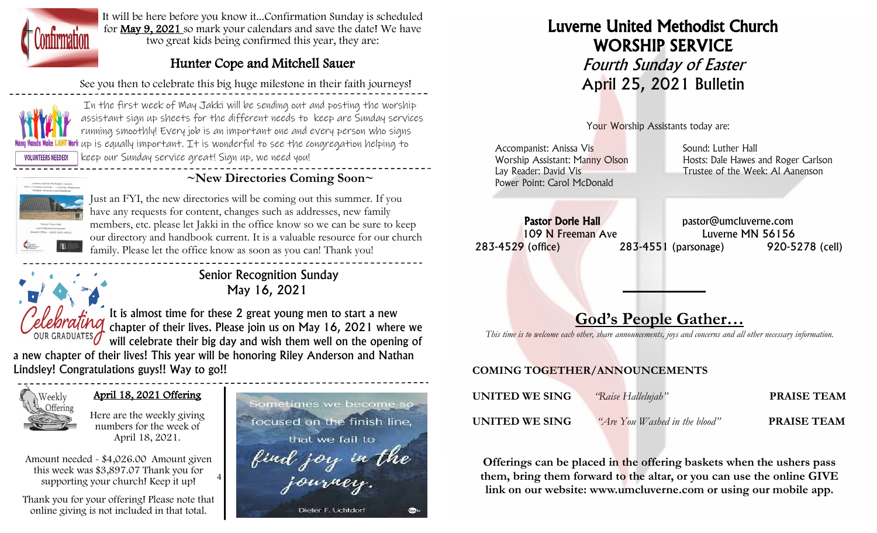

It will be here before you know it...Confirmation Sunday is scheduled for May 9, 2021 so mark your calendars and save the date! We have two great kids being confirmed this year, they are:

## Hunter Cope and Mitchell Sauer

See you then to celebrate this big huge milestone in their faith journeys!



In the first week of May Jakki will be sending out and posting the worship assistant sign up sheets for the different needs to keep are Sunday services running smoothly! Every job is an important one and every person who signs up is equally important. It is wonderful to see the congregation helping to keep our Sunday service great! Sign up, we need you!

 **~New Directories Coming Soon~**

Just an FYI, the new directories will be coming out this summer. If you have any requests for content, changes such as addresses, new family members, etc. please let Jakki in the office know so we can be sure to keep our directory and handbook current. It is a valuable resource for our church family. Please let the office know as soon as you can! Thank you!

> Senior Recognition Sunday May 16, 2021

It is almost time for these 2 great young men to start a new chapter of their lives. Please join us on May 16, 2021 where we will celebrate their big day and wish them well on the opening of

a new chapter of their lives! This year will be honoring Riley Anderson and Nathan Lindsley! Congratulations guys!! Way to go!!



#### April 18, 2021 Offering

Here are the weekly giving numbers for the week of April 18, 2021.

4 Amount needed - \$4,026.00 Amount given this week was \$3,897.07 Thank you for supporting your church! Keep it up!

Thank you for your offering! Please note that online giving is not included in that total.



# Luverne United Methodist Church WORSHIP SERVICE Fourth Sunday of Easter April 25, 2021 Bulletin

Your Worship Assistants today are:

Accompanist: Anissa Vis **Sound: Luther Hall** Sound: Luther Hall Power Point: Carol McDonald

Worship Assistant: Manny Olson Hosts: Dale Hawes and Roger Carlson Lay Reader: David Vis **Trustee of the Week: Al Aanenson** 

Pastor Dorie Hall **Pastor Dorie Hall** pastor@umcluverne.com 109 N Freeman Ave Luverne MN 56156 283-4529 (office) 283-4551 (parsonage) 920-5278 (cell)

# **God's People Gather…**

*This time is to welcome each other, share announcements, joys and concerns and all other necessary information.*

### **COMING TOGETHER/ANNOUNCEMENTS**

| UNITED WE SING | "Raise Hallelujah"            | <b>PRAISE TEAM</b> |
|----------------|-------------------------------|--------------------|
| UNITED WE SING | "Are You Washed in the blood" | <b>PRAISE TEAM</b> |

**Offerings can be placed in the offering baskets when the ushers pass them, bring them forward to the altar, or you can use the online GIVE link on our website: www.umcluverne.com or using our mobile app.**